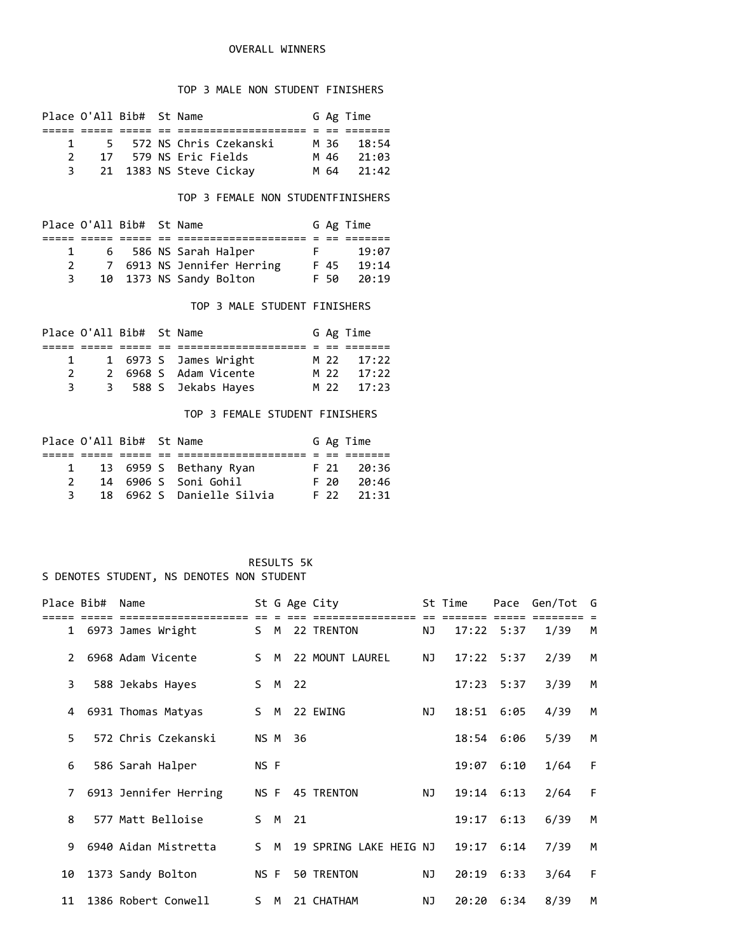## OVERALL WINNERS

## TOP 3 MALE NON STUDENT FINISHERS

|        |  |                                                                                                          | M 36 18:54   |
|--------|--|----------------------------------------------------------------------------------------------------------|--------------|
|        |  |                                                                                                          | M 46 21:03   |
|        |  |                                                                                                          | $M$ 64 21:42 |
| 1<br>3 |  | Place O'All Bib# St Name<br>5 572 NS Chris Czekanski<br>17 579 NS Eric Fields<br>21 1383 NS Steve Cickay | G Ag Time    |

# TOP 3 FEMALE NON STUDENTFINISHERS

|               | Place O'All Bib# St Name |                            |    |             | G Ag Time |
|---------------|--------------------------|----------------------------|----|-------------|-----------|
|               |                          |                            |    |             |           |
|               |                          | 6 586 NS Sarah Halper      | E. |             | 19:07     |
| $\mathcal{P}$ |                          | 7 6913 NS Jennifer Herring |    | F 45        | 19:14     |
|               |                          | 10 1373 NS Sandy Bolton    |    | <b>F</b> 50 | 20:19     |

#### TOP 3 MALE STUDENT FINISHERS

|               | Place O'All Bib# St Name |                       |  | G Ag Time  |
|---------------|--------------------------|-----------------------|--|------------|
|               |                          |                       |  |            |
| 1.            |                          | 1 6973 S James Wright |  | M 22 17:22 |
| $\mathcal{P}$ |                          | 2 6968 S Adam Vicente |  | M 22 17:22 |
| 3.            |                          | 3 588 S Jekabs Hayes  |  | M 22 17:23 |

#### TOP 3 FEMALE STUDENT FINISHERS

| $\mathbf{1}$ |  |                                                                                                         | F 21 20:36   |
|--------------|--|---------------------------------------------------------------------------------------------------------|--------------|
|              |  |                                                                                                         | F 20 20:46   |
| २            |  |                                                                                                         | $F$ 22 21:31 |
|              |  | Place O'All Bib# St Name<br>13 6959 S Bethany Ryan<br>14 6906 S Soni Gohil<br>18 6962 S Danielle Silvia | G Ag Time    |

| Place Bib#     | Name                  |      |   |        | St G Age City          |    | St Time |                | Pace Gen/Tot | G |
|----------------|-----------------------|------|---|--------|------------------------|----|---------|----------------|--------------|---|
|                |                       | S M  |   |        | 22 TRENTON             | ΝJ |         | $17:22$ 5:37   | 1/39         | M |
|                | 1 6973 James Wright   |      |   |        |                        |    |         |                |              |   |
| $\overline{2}$ | 6968 Adam Vicente     | S.   | M |        | 22 MOUNT LAUREL        | NJ |         | $17:22$ 5:37   | 2/39         | M |
| 3              | 588 Jekabs Hayes      |      |   | S M 22 |                        |    | 17:23   | 5:37           | 3/39         | M |
| 4              | 6931 Thomas Matyas    | S M  |   |        | 22 EWING               | ΝJ |         | 18:51 6:05     | 4/39         | М |
| 5.             | 572 Chris Czekanski   | NS M |   | 36     |                        |    |         | 18:54 6:06     | 5/39         | M |
| 6              | 586 Sarah Halper      | NS F |   |        |                        |    | 19:07   | 6:10           | 1/64         | F |
| 7              | 6913 Jennifer Herring | NS F |   |        | 45 TRENTON             | NJ |         | $19:14$ $6:13$ | 2/64         | F |
| 8              | 577 Matt Belloise     | S M  |   | 21     |                        |    |         | 19:17 6:13     | 6/39         | М |
| 9              | 6940 Aidan Mistretta  | S.   | M |        | 19 SPRING LAKE HEIG NJ |    |         | $19:17$ $6:14$ | 7/39         | M |
| 10             | 1373 Sandy Bolton     | NS F |   |        | 50 TRENTON             | ΝJ | 20:19   | 6:33           | 3/64         | F |
| 11             | 1386 Robert Conwell   | S M  |   |        | 21 CHATHAM             | NJ |         | 20:20 6:34     | 8/39         | M |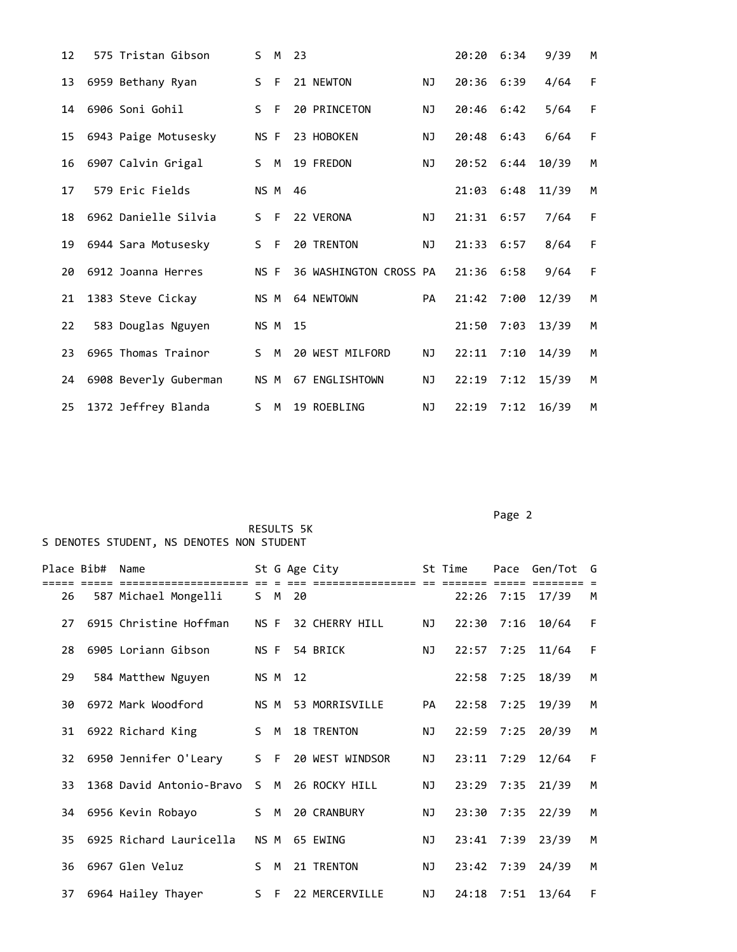| 12 | 575 Tristan Gibson    | S.           | M       | 23 |                        |           | 20:20 6:34       |      | 9/39  | M |
|----|-----------------------|--------------|---------|----|------------------------|-----------|------------------|------|-------|---|
| 13 | 6959 Bethany Ryan     | $\mathsf{S}$ | $-F$    |    | 21 NEWTON              | NJ        | 20:36 6:39       |      | 4/64  | F |
| 14 | 6906 Soni Gohil       | S.           | $-F$    |    | 20 PRINCETON           | <b>NJ</b> | 20:46 6:42       |      | 5/64  | F |
| 15 | 6943 Paige Motusesky  | NS F         |         |    | 23 HOBOKEN             | <b>NJ</b> | 20:48 6:43       |      | 6/64  | F |
| 16 | 6907 Calvin Grigal    |              |         |    | S M 19 FREDON          | ΝJ        | 20:52 6:44 10/39 |      |       | M |
| 17 | 579 Eric Fields       |              | NS M 46 |    |                        |           | 21:03            | 6:48 | 11/39 | M |
| 18 | 6962 Danielle Silvia  | S.           | $-F$    |    | 22 VERONA              | NJ.       | 21:31            | 6:57 | 7/64  | F |
| 19 | 6944 Sara Motusesky   | S F          |         |    | 20 TRENTON             | <b>NJ</b> | 21:33 6:57       |      | 8/64  | F |
| 20 | 6912 Joanna Herres    | NS F         |         |    | 36 WASHINGTON CROSS PA |           | $21:36$ 6:58     |      | 9/64  | F |
| 21 | 1383 Steve Cickay     | NS M         |         |    | 64 NEWTOWN             | PA        | 21:42 7:00       |      | 12/39 | M |
| 22 | 583 Douglas Nguyen    | NS M         |         | 15 |                        |           | 21:50            | 7:03 | 13/39 | M |
| 23 | 6965 Thomas Trainor   | S M          |         |    | 20 WEST MILFORD        | NJ        | 22:11            | 7:10 | 14/39 | M |
| 24 | 6908 Beverly Guberman |              | NS M    |    | 67 ENGLISHTOWN         | NJ        | 22:19 7:12 15/39 |      |       | M |
| 25 | 1372 Jeffrey Blanda   | S M          |         |    | 19 ROEBLING            | NJ        | $22:19$ $7:12$   |      | 16/39 | M |

Page 2 (2012) 2014 12:30:40 (2012) 2014 12:30:40 (2012) 2014 12:30:40 (2012) 2014 12:30:40 (2012) 2014 12:30:40

| Place Bib# | Name                                     |       |   |         | St G Age City   |    | St Time |              | Pace Gen/Tot     | G |
|------------|------------------------------------------|-------|---|---------|-----------------|----|---------|--------------|------------------|---|
| 26         | .===============<br>587 Michael Mongelli |       |   | S M 20  |                 |    |         |              | 22:26 7:15 17/39 | М |
| 27         | 6915 Christine Hoffman                   | NS F  |   |         | 32 CHERRY HILL  | NJ |         | $22:30$ 7:16 | 10/64            | F |
| 28         | 6905 Loriann Gibson                      | NS F  |   |         | 54 BRICK        | NJ |         | 22:57 7:25   | 11/64            | F |
| 29         | 584 Matthew Nguyen                       |       |   | NS M 12 |                 |    |         |              | 22:58 7:25 18/39 | M |
| 30         | 6972 Mark Woodford                       | NS M  |   |         | 53 MORRISVILLE  | PA | 22:58   | 7:25         | 19/39            | M |
| 31         | 6922 Richard King                        | S M   |   |         | 18 TRENTON      | ΝJ | 22:59   | 7:25         | 20/39            | M |
| 32         | 6950 Jennifer O'Leary                    | $S$ F |   |         | 20 WEST WINDSOR | NJ |         | 23:11 7:29   | 12/64            | F |
| 33         | 1368 David Antonio-Bravo                 | S.    | M |         | 26 ROCKY HILL   | NJ |         |              | 23:29 7:35 21/39 | M |
| 34         | 6956 Kevin Robayo                        | S M   |   |         | 20 CRANBURY     | NJ |         |              | 23:30 7:35 22/39 | M |
| 35         | 6925 Richard Lauricella                  | NS M  |   |         | 65 EWING        | NJ |         | 23:41 7:39   | 23/39            | М |
| 36         | 6967 Glen Veluz                          | S.    | M |         | 21 TRENTON      | ΝJ |         | 23:42 7:39   | 24/39            | M |
| 37         | 6964 Hailey Thayer                       | $S$ F |   |         | 22 MERCERVILLE  | NJ |         | 24:18 7:51   | 13/64            | F |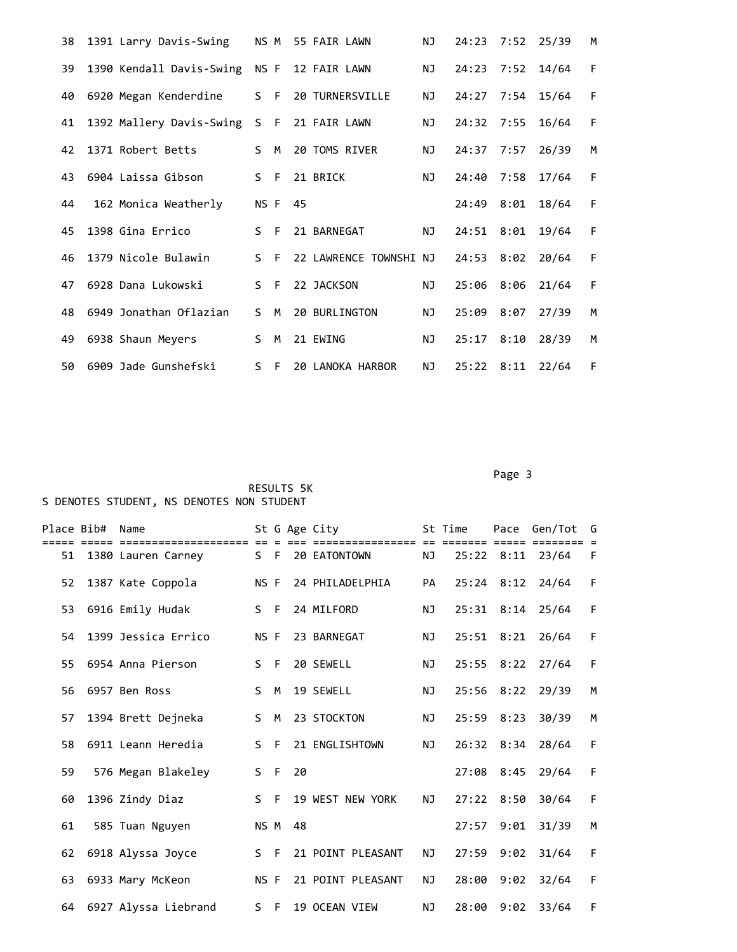|     | 38 1391 Larry Davis-Swing                  |       |         | NS M 55 FAIR LAWN      | ΝJ | 24:23 7:52 25/39 |       | M |
|-----|--------------------------------------------|-------|---------|------------------------|----|------------------|-------|---|
| 39  | 1390 Kendall Davis-Swing NS F 12 FAIR LAWN |       |         |                        | NJ | 24:23 7:52 14/64 |       | F |
| 40  | 6920 Megan Kenderdine                      |       |         | S F 20 TURNERSVILLE    | NJ | 24:27 7:54 15/64 |       | F |
| 41  | 1392 Mallery Davis-Swing                   |       |         | S F 21 FAIR LAWN       | NJ | 24:32 7:55 16/64 |       | F |
| 42  | 1371 Robert Betts                          | S M   |         | 20 TOMS RIVER          | NJ | 24:37 7:57       | 26/39 | M |
| 43. | 6904 Laissa Gibson                         |       | S F     | 21 BRICK               | NJ | 24:40 7:58       | 17/64 | F |
| 44  | 162 Monica Weatherly                       |       | NS F 45 |                        |    | 24:49 8:01       | 18/64 | F |
| 45  | 1398 Gina Errico                           | $S$ F |         | 21 BARNEGAT            | NJ | 24:51 8:01       | 19/64 | F |
| 46  | 1379 Nicole Bulawin                        | $S$ F |         | 22 LAWRENCE TOWNSHI NJ |    | 24:53 8:02       | 20/64 | F |
| 47  | 6928 Dana Lukowski                         | S F   |         | 22 JACKSON             | NJ | 25:06 8:06       | 21/64 | F |
| 48  | 6949 Jonathan Oflazian                     | S M   |         | 20 BURLINGTON          | NJ | 25:09 8:07       | 27/39 | M |
| 49  | 6938 Shaun Meyers                          | S.    | M       | 21 EWING               | NJ | 25:17 8:10       | 28/39 | M |
| 50  | 6909 Jade Gunshefski                       | S.    | - F     | 20 LANOKA HARBOR       | NJ | 25:22 8:11       | 22/64 | F |

Page 3 and 2012 and 2012 and 2012 and 2012 and 2012 and 2012 and 2012 and 2012 and 2012 and 2012 and 2012 and

| Place Bib# | Name                 |       |      |    | St G Age City     |           | St Time |            | Pace Gen/Tot     | G |
|------------|----------------------|-------|------|----|-------------------|-----------|---------|------------|------------------|---|
| 51         | 1380 Lauren Carney   | $S$ F |      |    | 20 EATONTOWN      | ΝJ        |         |            | 25:22 8:11 23/64 | F |
| 52         | 1387 Kate Coppola    | NS F  |      |    | 24 PHILADELPHIA   | PA        |         |            | 25:24 8:12 24/64 | F |
| 53         | 6916 Emily Hudak     | S F   |      |    | 24 MILFORD        | NJ.       |         |            | 25:31 8:14 25/64 | F |
| 54         | 1399 Jessica Errico  | NS F  |      |    | 23 BARNEGAT       | <b>NJ</b> | 25:51   | 8:21       | 26/64            | F |
| 55.        | 6954 Anna Pierson    | S.    | - F  |    | 20 SEWELL         | ΝJ        |         | 25:55 8:22 | 27/64            | F |
| 56         | 6957 Ben Ross        | S.    | M    |    | 19 SEWELL         | <b>NJ</b> | 25:56   | 8:22       | 29/39            | M |
| 57         | 1394 Brett Dejneka   | S.    | M    |    | 23 STOCKTON       | NJ.       |         | 25:59 8:23 | 30/39            | M |
| 58         | 6911 Leann Heredia   | S.    | - F  |    | 21 ENGLISHTOWN    | NJ        |         | 26:32 8:34 | 28/64            | F |
| 59         | 576 Megan Blakeley   | $S$ F |      | 20 |                   |           | 27:08   | 8:45       | 29/64            | F |
| 60         | 1396 Zindy Diaz      | S.    | $-F$ |    | 19 WEST NEW YORK  | <b>NJ</b> | 27:22   | 8:50       | 30/64            | F |
| 61         | 585 Tuan Nguyen      | NS M  |      | 48 |                   |           | 27:57   | 9:01       | 31/39            | M |
| 62         | 6918 Alyssa Joyce    | $S$ F |      |    | 21 POINT PLEASANT | <b>NJ</b> | 27:59   | 9:02       | 31/64            | F |
| 63         | 6933 Mary McKeon     | NS F  |      |    | 21 POINT PLEASANT | ΝJ        | 28:00   | 9:02       | 32/64            | F |
| 64         | 6927 Alyssa Liebrand | S F   |      |    | 19 OCEAN VIEW     | <b>NJ</b> | 28:00   | 9:02       | 33/64            | F |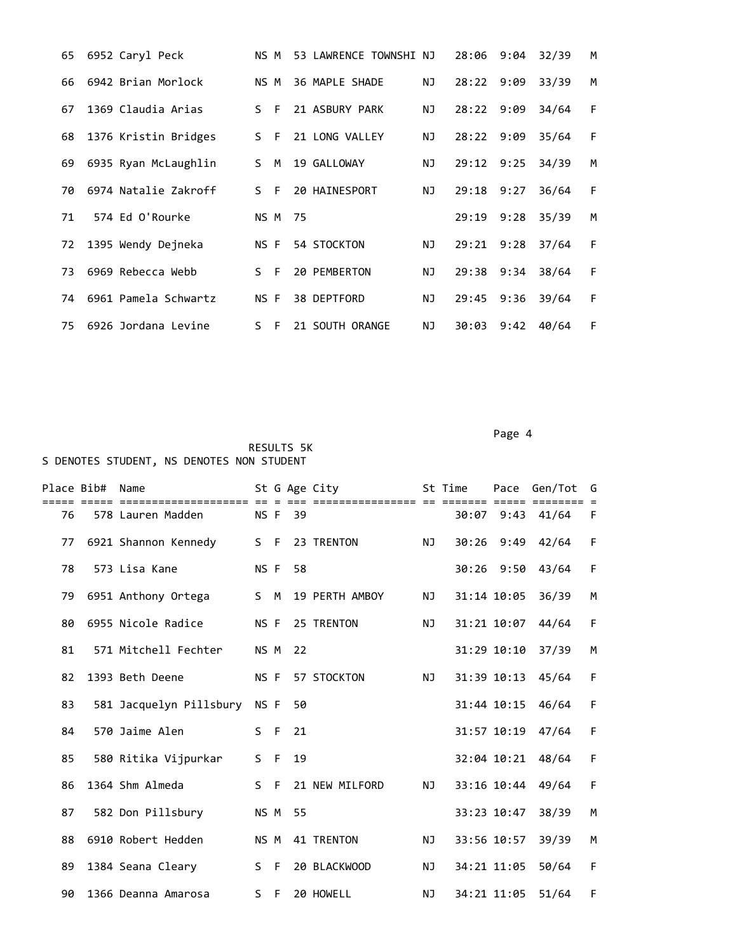| 65 | 6952 Caryl Peck      | NS M      |    |    | 53 LAWRENCE TOWNSHI NJ |    | 28:06 | 9:04 | 32/39 | М |
|----|----------------------|-----------|----|----|------------------------|----|-------|------|-------|---|
| 66 | 6942 Brian Morlock   | NS M      |    |    | 36 MAPLE SHADE         | ΝJ | 28:22 | 9:09 | 33/39 | M |
| 67 | 1369 Claudia Arias   | - F<br>S. |    |    | 21 ASBURY PARK         | ΝJ | 28:22 | 9:09 | 34/64 | F |
| 68 | 1376 Kristin Bridges | S.        | F  |    | 21 LONG VALLEY         | ΝJ | 28:22 | 9:09 | 35/64 | F |
| 69 | 6935 Ryan McLaughlin | S.        | M  |    | 19 GALLOWAY            | ΝJ | 29:12 | 9:25 | 34/39 | М |
| 70 | 6974 Natalie Zakroff | - F<br>ς. |    |    | 20 HAINESPORT          | ΝJ | 29:18 | 9:27 | 36/64 | F |
| 71 | 574 Ed O'Rourke      | NS M      |    | 75 |                        |    | 29:19 | 9:28 | 35/39 | M |
| 72 | 1395 Wendy Dejneka   | NS F      |    |    | 54 STOCKTON            | ΝJ | 29:21 | 9:28 | 37/64 | F |
| 73 | 6969 Rebecca Webb    | S F       |    |    | 20 PEMBERTON           | ΝJ | 29:38 | 9:34 | 38/64 | F |
| 74 | 6961 Pamela Schwartz | NS F      |    |    | 38 DEPTFORD            | ΝJ | 29:45 | 9:36 | 39/64 | F |
| 75 | 6926 Jordana Levine  | S.        | -F |    | 21 SOUTH ORANGE        | ΝJ | 30:03 | 9:42 | 40/64 | F |

Page 4 and the state of the state of the state of the state of the state of the state of the state of the state of the state of the state of the state of the state of the state of the state of the state of the state of the

|    | Place Bib# Name |                         |       |      |         | St G Age City  |           | St Time       |             | Pace Gen/Tot   | G |
|----|-----------------|-------------------------|-------|------|---------|----------------|-----------|---------------|-------------|----------------|---|
| 76 |                 | 578 Lauren Madden       |       |      | NS F 39 |                |           | ====<br>30:07 |             | $9:43$ $41/64$ | F |
| 77 |                 | 6921 Shannon Kennedy    | S F   |      |         | 23 TRENTON     | NJ        |               | 30:26 9:49  | 42/64          | F |
| 78 |                 | 573 Lisa Kane           | NS F  |      | 58      |                |           |               | 30:26 9:50  | 43/64          | F |
| 79 |                 | 6951 Anthony Ortega     | S M   |      |         | 19 PERTH AMBOY | NJ        |               | 31:14 10:05 | 36/39          | M |
| 80 |                 | 6955 Nicole Radice      | NS F  |      |         | 25 TRENTON     | NJ        |               | 31:21 10:07 | 44/64          | F |
| 81 |                 | 571 Mitchell Fechter    | NS M  |      | 22      |                |           |               | 31:29 10:10 | 37/39          | M |
| 82 |                 | 1393 Beth Deene         | NS F  |      |         | 57 STOCKTON    | NJ        |               | 31:39 10:13 | 45/64          | F |
| 83 |                 | 581 Jacquelyn Pillsbury | NS F  |      | 50      |                |           |               | 31:44 10:15 | 46/64          | F |
| 84 |                 | 570 Jaime Alen          | S.    | $-F$ | 21      |                |           |               | 31:57 10:19 | 47/64          | F |
| 85 |                 | 580 Ritika Vijpurkar    | S F   |      | 19      |                |           |               | 32:04 10:21 | 48/64          | F |
| 86 |                 | 1364 Shm Almeda         | $S$ F |      |         | 21 NEW MILFORD | NJ        |               | 33:16 10:44 | 49/64          | F |
| 87 |                 | 582 Don Pillsbury       | NS M  |      | 55      |                |           |               | 33:23 10:47 | 38/39          | M |
| 88 |                 | 6910 Robert Hedden      | NS M  |      |         | 41 TRENTON     | ΝJ        |               | 33:56 10:57 | 39/39          | M |
| 89 |                 | 1384 Seana Cleary       | S F   |      |         | 20 BLACKWOOD   | NJ        |               | 34:21 11:05 | 50/64          | F |
| 90 |                 | 1366 Deanna Amarosa     | S F   |      |         | 20 HOWELL      | <b>NJ</b> |               | 34:21 11:05 | 51/64          | F |